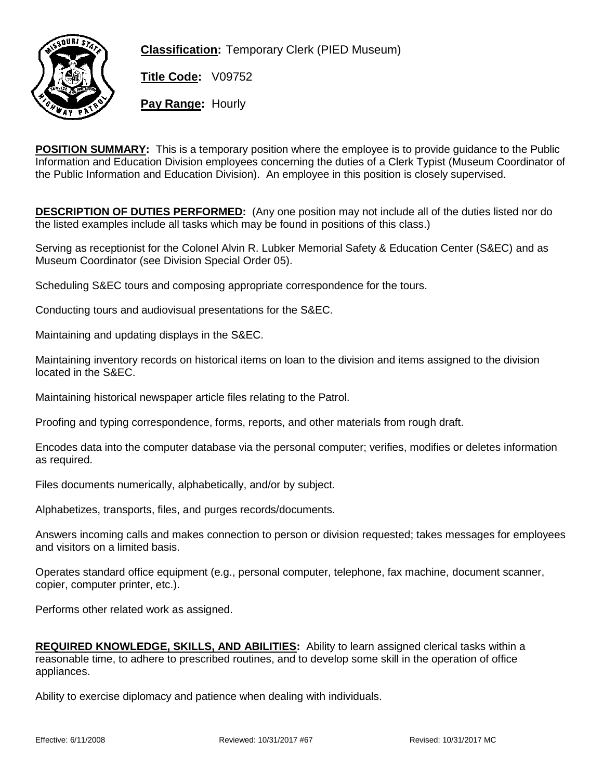

**Classification:** Temporary Clerk (PIED Museum)

**Title Code:** V09752

**Pay Range:** Hourly

**POSITION SUMMARY:** This is a temporary position where the employee is to provide quidance to the Public Information and Education Division employees concerning the duties of a Clerk Typist (Museum Coordinator of the Public Information and Education Division). An employee in this position is closely supervised.

**DESCRIPTION OF DUTIES PERFORMED:** (Any one position may not include all of the duties listed nor do the listed examples include all tasks which may be found in positions of this class.)

Serving as receptionist for the Colonel Alvin R. Lubker Memorial Safety & Education Center (S&EC) and as Museum Coordinator (see Division Special Order 05).

Scheduling S&EC tours and composing appropriate correspondence for the tours.

Conducting tours and audiovisual presentations for the S&EC.

Maintaining and updating displays in the S&EC.

Maintaining inventory records on historical items on loan to the division and items assigned to the division located in the S&EC.

Maintaining historical newspaper article files relating to the Patrol.

Proofing and typing correspondence, forms, reports, and other materials from rough draft.

Encodes data into the computer database via the personal computer; verifies, modifies or deletes information as required.

Files documents numerically, alphabetically, and/or by subject.

Alphabetizes, transports, files, and purges records/documents.

Answers incoming calls and makes connection to person or division requested; takes messages for employees and visitors on a limited basis.

Operates standard office equipment (e.g., personal computer, telephone, fax machine, document scanner, copier, computer printer, etc.).

Performs other related work as assigned.

**REQUIRED KNOWLEDGE, SKILLS, AND ABILITIES:** Ability to learn assigned clerical tasks within a reasonable time, to adhere to prescribed routines, and to develop some skill in the operation of office appliances.

Ability to exercise diplomacy and patience when dealing with individuals.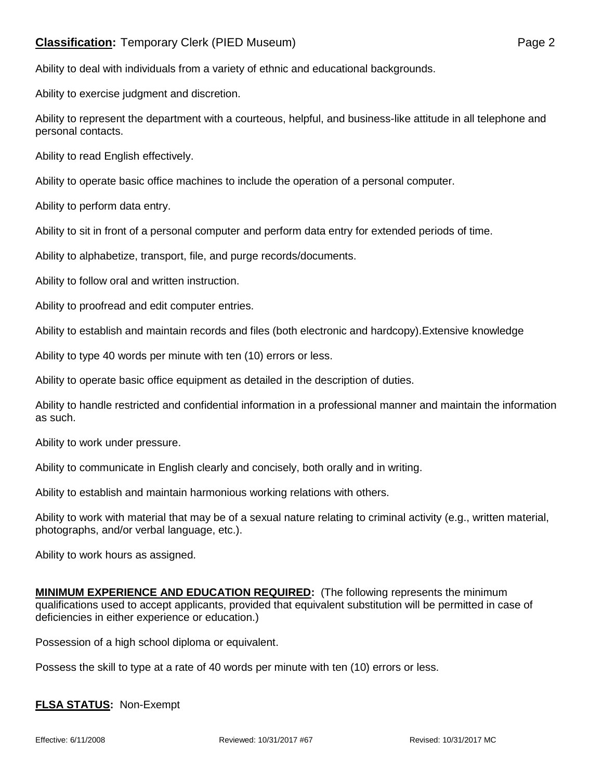## **Classification:** Temporary Clerk (PIED Museum) **Page 2** Page 2

Ability to deal with individuals from a variety of ethnic and educational backgrounds.

Ability to exercise judgment and discretion.

Ability to represent the department with a courteous, helpful, and business-like attitude in all telephone and personal contacts.

Ability to read English effectively.

Ability to operate basic office machines to include the operation of a personal computer.

Ability to perform data entry.

Ability to sit in front of a personal computer and perform data entry for extended periods of time.

Ability to alphabetize, transport, file, and purge records/documents.

Ability to follow oral and written instruction.

Ability to proofread and edit computer entries.

Ability to establish and maintain records and files (both electronic and hardcopy).Extensive knowledge

Ability to type 40 words per minute with ten (10) errors or less.

Ability to operate basic office equipment as detailed in the description of duties.

Ability to handle restricted and confidential information in a professional manner and maintain the information as such.

Ability to work under pressure.

Ability to communicate in English clearly and concisely, both orally and in writing.

Ability to establish and maintain harmonious working relations with others.

Ability to work with material that may be of a sexual nature relating to criminal activity (e.g., written material, photographs, and/or verbal language, etc.).

Ability to work hours as assigned.

**MINIMUM EXPERIENCE AND EDUCATION REQUIRED:** (The following represents the minimum qualifications used to accept applicants, provided that equivalent substitution will be permitted in case of deficiencies in either experience or education.)

Possession of a high school diploma or equivalent.

Possess the skill to type at a rate of 40 words per minute with ten (10) errors or less.

## **FLSA STATUS:** Non-Exempt